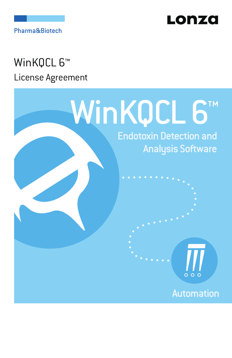

Pharma&Biotech

# WinKQCL 6<sup>™</sup> License Agreement

# WinKQCL 6™

**Endotoxin Detection and Analysis Software** 

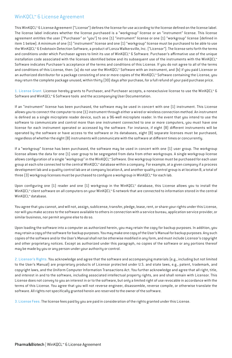## WinKQCL™ 6 License Agreement

This WinKQCL™ 6 License Agreement ("License") defines the license for use according to the license defined on the license label. The license label indicates whether the license purchased is a "workgroup" license or an "instrument" license. This license agreement entitles the user ("Purchaser" or "you") to one (1) "instrument" license or one (1) "workgroup" license (defined in item 1 below). A minimum of one (1) "instrument" license and one (1) "workgroup" license must be purchased to be able to use the WinKQCL™ 6 Endotoxin Detection Software, a product of Lonza Walkersville, Inc. ("Licensor"). The license sets forth the terms and conditions under which Purchaser agrees to limit its use of WinKQCL™ 6 Software. Purchaser's affirmative use of the unique installation code associated with the licenses identified below and its subsequent use of the instruments with the WinKQCL™ Software indicates Purchaser's acceptance of the terms and conditions of this License. If you do not agree to all of the terms and conditions of this License, then: (a) do not use the WinKQCL™ Software with an instrument, and (b) if you paid Licensor or an authorized distributor for a package consisting of one or more copies of the WinKQCL™ Software containing the License, you may return the complete package unused, within thirty (30) days after purchase, for a full refund of your paid purchase price.

1. License Grant. Licensor hereby grants to Purchaser, and Purchaser accepts, a nonexclusive license to use the WinKQCL™ 6 Software and WinKQCL™ 6 Software tools and the accompanying User Documentation.

If an "instrument" license has been purchased, the software may be used in concert with one (1) instrument. This License allows you to connect the computer to one (1) instrument through either a wired or wireless connection method. An instrument is defined as a single microplate reader device, such as a 96-well microplate reader. In the event that you intend to use the software to communicate and control more than one instrument connected to one or more computers, you must have one license for each instrument operated or accessed by the software. For instance, if eight (8) different instruments will be operated by the software or have access to the software or its databases, eight (8) separate licenses must be purchased, regardless of whether the eight (8) instruments will communicate with the software at different times or concurrently.

If a "workgroup" license has been purchased, the software may be used in concert with one (1) user group. The workgroup license allows the data for one (1) user group to be segregated from data from other workgroups. A single workgroup license allows configuration of a single "workgroup" in the WinKQCL™ Software. One workgroup license must be purchased for each user group at each site connected to the central WinKQCL™ database within a company. For example, at a given company if a process development lab and a quality control lab are at company location A, and another quality control group is at location B, a total of three (3) workgroup licenses must be purchased to configure a workgroup in WinKQCL™ for each lab.

Upon configuring one (1) reader and one (1) workgroup in the WinKQCL™ database, this License allows you to install the WinKQCL™ client software on all computers on your WinKQCL™ 6 network that are connected to information stored in the central WinKQCL™ database.

You agree that you cannot, and will not, assign, sublicense, transfer, pledge, lease, rent, or share your rights under this License, nor will you make access to the software available to others in connection with a service bureau, application service provider, or similar business, nor permit anyone else to do so.

Upon loading the software into a computer as authorized herein, you may retain the copy for backup purposes. In addition, you may retain a copy of the software for backup purposes. You may make one copy of the User's Manual for backup purposes. Any such copies of the software and/or the User's Manual shall not be otherwise modified in any form, and must include Licensor's copyright and other proprietary notices. Except as authorized under this paragraph, no copies of the software or any portions thereof may be made by you or any person under your authority or control.

2. Licensor's Rights. You acknowledge and agree that the software and accompanying materials [e.g., including but not limited to the User's Manual) are proprietary products of Licensor protected under U.S. and state laws, e.g., patent, trademark, and copyright laws, and the Uniform Computer Information Transactions Act. You further acknowledge and agree that all right, title, and interest in and to the software, including associated intellectual property rights, are and shall remain with Licensor. This License does not convey to you an interest in or to the software, but only a limited right of use revocable in accordance with the terms of this License. You agree that you will not reverse engineer, disassemble, reverse compile, or otherwise translate the software. All rights not specifically granted herein are reserved to the owner of the software.

3. License Fees. The license fees paid by you are paid in consideration of the rights granted under this License.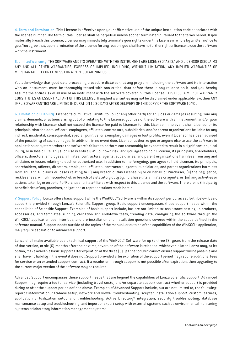4. Term and Termination. This License is effective upon your affirmative use of the unique installation code associated with the license number. The term of this License shall be perpetual unless sooner terminated pursuant to the terms hereof. If you materially breach this License, Licensor may immediately terminate your rights under this License in whole by written notice to you. You agree that, upon termination of the License for any reason, you shall have no further right or license to use the software with the instrument.

5. Limited Warranty. THE SOFTWARE AND ITS OPERATION WITH THE INSTRUMENT ARE LICENSED "AS IS," AND LICENSOR DISCLAIMS ANY AND ALL OTHER WARRANTIES, EXPRESS OR IMPLIED, INCLUDING, WITHOUT LIMITATION, ANY IMPLIED WARRANTIES OF MERCHANTABILITY OR FITNESS FOR A PARTICULAR PURPOSE.

You acknowledge that good data processing procedure dictates that any program, including the software and its interaction with an instrument, must be thoroughly tested with non-critical data before there is any reliance on it, and you hereby assume the entire risk of all use of an instrument with the software covered by this License. THIS DISCLAIMER OF WARRANTY CONSTITUTES AN ESSENTIAL PART OF THIS LICENSE. If implied warranties may not be disclaimed under applicable law, then ANY IMPLIED WARRANTIES ARE LIMITED IN DURATION TO 30 DAYS AFTER DELIVERY OF THIS COPY OF THE SOFTWARE TO YOU.

6. Limitation of Liability. Licensor's cumulative liability to you or any other party for any loss or damages resulting from any claims, demands, or actions arising out of or relating to this License, your use of the software with an instrument, and/or your relationship with Licensor shall not exceed the license fee paid to Licensor for this License. In no event shall Licensor or its principals, shareholders, officers, employees, affiliates, contractors, subsidiaries, and/or parent organizations be liable for any indirect, incidental, consequential, special, punitive, or exemplary damages or lost profits, even if Licensor has been advised of the possibility of such damages. In addition, in no event does Licensor authorize you or anyone else to use the software in applications or systems where the software's failure to perform can reasonably be expected to result in a significant physical injury, or in loss of life. Any such use is entirely at your own risk, and you agree to hold Licensor, its principals, shareholders, officers, directors, employees, affiliates, contractors, agents, subsidiaries, and parent organizations harmless from any and all claims or losses relating to such unauthorized use. In addition to the foregoing, you agree to hold Licensor, its principals, shareholders, officers, directors, employees, affiliates, contractors, agents, subsidiaries, and parent organizations harmless from any and all claims or losses relating to (i) any breach of this License by or on behalf of Purchaser; (ii) the negligence, recklessness, willful misconduct of, or breach of a statutory duty by, Purchaser, its affiliates or agents; or (iii) any activities or actions taken by or on behalf of Purchaser or its affiliates with respect to this License and the software. There are no third party beneficiaries of any promises, obligations or representations made herein.

7. Support Policy. Lonza offers basic support while the WinKQCL™ Software is within its support period, as set forth below. Basic support is provided through Lonza's Scientific Support group. Basic support encompasses those support needs within the capabilities of Scientific Support. Examples of basic support include, but are not limited to: assistance setting up products, accessories, and templates; running validation and endotoxin tests, trending data; configuring the software through the WinKQCL™ application user interface, and pre-installation and installation questions covered within the scope defined in the software manual. Support needs outside of the topics of the manual, or outside of the capabilities of the WinKQCL™ application, may require escalation to advanced support.

Lonza shall make available basic technical support of the WinKQCL™ Software for up to three (3) years from the release date of that version, or six (6) months after the next major version of the software is released, whichever is later. Lonza may, at its option, make available basic support after expiration of the three (3) year period, but cannot ensure support will be possible and shall have no liability in the event it does not. Support provided after expiration of the support period may require additional fees for service or an extended support contract. If a resolution through support is not possible after expiration, then upgrading to the current major version of the software may be required.

Advanced Support encompasses those support needs that are beyond the capabilities of Lonza Scientific Support. Advanced Support may require a fee for service (including travel costs) and/or separate support contract whether support is provided during or after the support period defined above. Examples of Advanced Support include, but are not limited to, the following: report customization, database setup, network and firewall troubleshooting, scripted installation support, custom features, application virtualization setup and troubleshooting, Active Directory® integration, security troubleshooting, database maintenance setup and troubleshooting, and import or export setup with external systems such as environmental monitoring systems or laboratory information management systems.